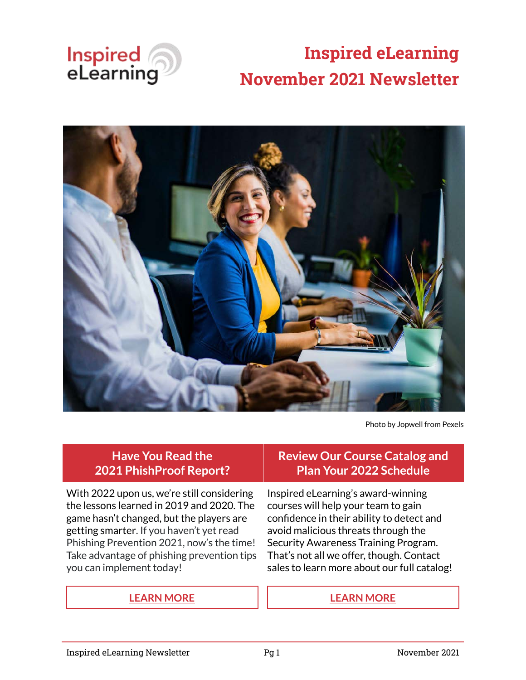

# **Inspired eLearning November 2021 Newsletter**



Photo by Jopwell from Pexels

### **Have You Read the 2021 PhishProof Report?**

With 2022 upon us, we're still considering the lessons learned in 2019 and 2020. The game hasn't changed, but the players are getting smarter. If you haven't yet read Phishing Prevention 2021, now's the time! Take advantage of phishing prevention tips you can implement today!

# **Review Our Course Catalog and Plan Your 2022 Schedule**

Inspired eLearning's award-winning courses will help your team to gain confidence in their ability to detect and avoid malicious threats through the Security Awareness Training Program. That's not all we offer, though. Contact sales to learn more about our full catalog!

#### **[LEARN MORE](https://inspiredelearning.com/resource/phishing-prevention-in-2021/) [LEARN MORE](https://inspiredelearning.com/course-catalog/)**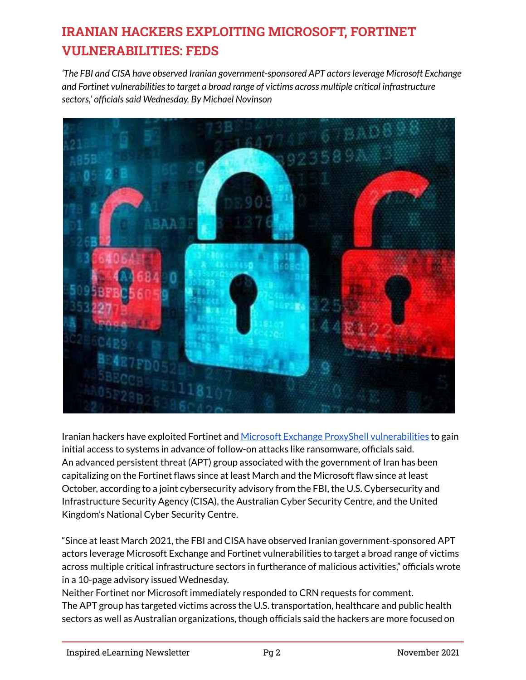# **IRANIAN HACKERS EXPLOITING MICROSOFT, FORTINET VULNERABILITIES: FEDS**

*'The FBI and CISA have observed Iranian government-sponsored APT actors leverage Microsoft Exchange and Fortinet vulnerabilities to target a broad range of victims across multiple critical infrastructure sectors,' officials said Wednesday. By Michael Novinson*



Iranian hackers have exploited Fortinet and [Microsoft Exchange ProxyShell vulnerabilities](https://www.crn.com/news/security/lockfile-ransomware-encrypting-domains-via-exchange-hack) to gain initial access to systems in advance of follow-on attacks like ransomware, officials said. An advanced persistent threat (APT) group associated with the government of Iran has been capitalizing on the Fortinet flaws since at least March and the Microsoft flaw since at least October, according to a joint cybersecurity advisory from the FBI, the U.S. Cybersecurity and Infrastructure Security Agency (CISA), the Australian Cyber Security Centre, and the United Kingdom's National Cyber Security Centre.

"Since at least March 2021, the FBI and CISA have observed Iranian government-sponsored APT actors leverage Microsoft Exchange and Fortinet vulnerabilities to target a broad range of victims across multiple critical infrastructure sectors in furtherance of malicious activities," officials wrote in a 10-page advisory issued Wednesday.

Neither Fortinet nor Microsoft immediately responded to CRN requests for comment. The APT group has targeted victims across the U.S. transportation, healthcare and public health sectors as well as Australian organizations, though officials said the hackers are more focused on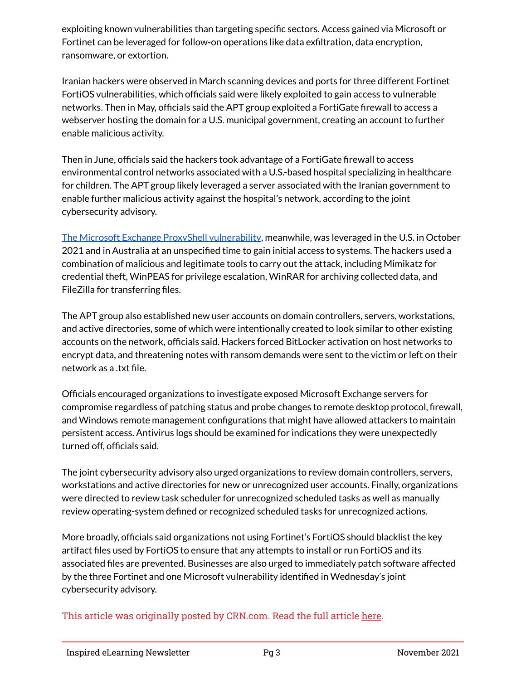exploiting known vulnerabilities than targeting specific sectors. Access gained via Microsoft or Fortinet can be leveraged for follow-on operations like data exfiltration, data encryption, ransomware, or extortion.

Iranian hackers were observed in March scanning devices and ports for three different Fortinet FortiOS vulnerabilities, which officials said were likely exploited to gain access to vulnerable networks. Then in May, officials said the APT group exploited a FortiGate firewall to access a webserver hosting the domain for a U.S. municipal government, creating an account to further enable malicious activity.

Then in June, officials said the hackers took advantage of a FortiGate firewall to access environmental control networks associated with a U.S.-based hospital specializing in healthcare for children. The APT group likely leveraged a server associated with the Iranian government to enable further malicious activity against the hospital's network, according to the joint cybersecurity advisory.

[The Microsoft Exchange ProxyShell vulnerability](https://www.crn.com/news/security/hackers-abusing-microsoft-exchange-server-vulnerabilities-huntress), meanwhile, was leveraged in the U.S. in October 2021 and in Australia at an unspecified time to gain initial access to systems. The hackers used a combination of malicious and legitimate tools to carry out the attack, including Mimikatz for credential theft, WinPEAS for privilege escalation, WinRAR for archiving collected data, and FileZilla for transferring files.

The APT group also established new user accounts on domain controllers, servers, workstations, and active directories, some of which were intentionally created to look similar to other existing accounts on the network, officials said. Hackers forced BitLocker activation on host networks to encrypt data, and threatening notes with ransom demands were sent to the victim or left on their network as a .txt file.

Officials encouraged organizations to investigate exposed Microsoft Exchange servers for compromise regardless of patching status and probe changes to remote desktop protocol, firewall, and Windows remote management configurations that might have allowed attackers to maintain persistent access. Antivirus logs should be examined for indications they were unexpectedly turned off, officials said.

The joint cybersecurity advisory also urged organizations to review domain controllers, servers, workstations and active directories for new or unrecognized user accounts. Finally, organizations were directed to review task scheduler for unrecognized scheduled tasks as well as manually review operating-system defined or recognized scheduled tasks for unrecognized actions.

More broadly, officials said organizations not using Fortinet's FortiOS should blacklist the key artifact files used by FortiOS to ensure that any attempts to install or run FortiOS and its associated files are prevented. Businesses are also urged to immediately patch software affected by the three Fortinet and one Microsoft vulnerability identified in Wednesday's joint cybersecurity advisory.

This article was originally posted by CRN.com. Read the full article [here.](https://www.crn.com/news/security/iranian-hackers-exploiting-microsoft-fortinet-vulnerabilities-feds)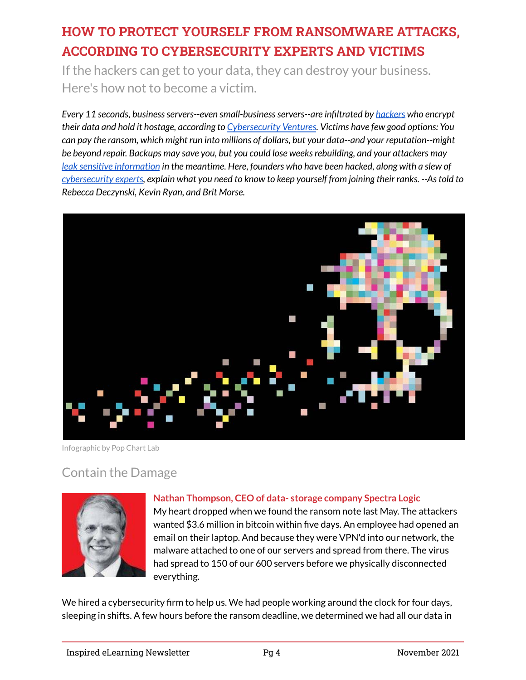# **HOW TO PROTECT YOURSELF FROM RANSOMWARE ATTACKS, ACCORDING TO CYBERSECURITY EXPERTS AND VICTIMS**

If the hackers can get to your data, they can destroy your business. Here's how not to become a victim.

*Every 11 seconds, business servers--even small-business servers--are infiltrated by [hackers](https://www.inc.com/jason-aten/a-crypto-platform-lost-600-million-to-a-hacker-now-its-offering-them-a-job.html) who encrypt their data and hold it hostage, according to [Cybersecurity Ventures](https://cybersecurityventures.com/global-ransomware-damage-costs-predicted-to-reach-20-billion-usd-by-2021/). Victims have few good options: You can pay the ransom, which might run into millions of dollars, but your data--and your reputation--might be beyond repair. Backups may save you, but you could lose weeks rebuilding, and your attackers may [leak sensitive information](https://www.inc.com/brian-hart/your-employees-are-probably-leaking-trade-secrets-.html) in the meantime. Here, founders who have been hacked, along with a slew of [cybersecurity experts,](https://www.inc.com/amrita-khalid/protect-data-cyber-attacks-small.html) explain what you need to know to keep yourself from joining their ranks. --As told to Rebecca Deczynski, Kevin Ryan, and Brit Morse.*



Infographic by Pop Chart Lab

# Contain the Damage



#### **Nathan Thompson, CEO of data- storage company Spectra Logic**

My heart dropped when we found the ransom note last May. The attackers wanted \$3.6 million in bitcoin within five days. An employee had opened an email on their laptop. And because they were VPN'd into our network, the malware attached to one of our servers and spread from there. The virus had spread to 150 of our 600 servers before we physically disconnected everything.

We hired a cybersecurity firm to help us. We had people working around the clock for four days, sleeping in shifts. A few hours before the ransom deadline, we determined we had all our data in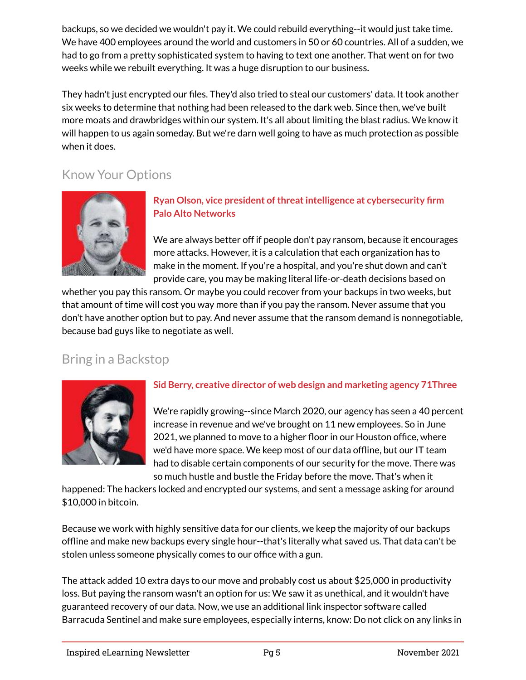backups, so we decided we wouldn't pay it. We could rebuild everything--it would just take time. We have 400 employees around the world and customers in 50 or 60 countries. All of a sudden, we had to go from a pretty sophisticated system to having to text one another. That went on for two weeks while we rebuilt everything. It was a huge disruption to our business.

They hadn't just encrypted our files. They'd also tried to steal our customers' data. It took another six weeks to determine that nothing had been released to the dark web. Since then, we've built more moats and drawbridges within our system. It's all about limiting the blast radius. We know it will happen to us again someday. But we're darn well going to have as much protection as possible when it does.

# Know Your Options



#### **Ryan Olson, vice president of threat intelligence at cybersecurity firm Palo Alto Networks**

We are always better off if people don't pay ransom, because it encourages more attacks. However, it is a calculation that each organization has to make in the moment. If you're a hospital, and you're shut down and can't provide care, you may be making literal life-or-death decisions based on

whether you pay this ransom. Or maybe you could recover from your backups in two weeks, but that amount of time will cost you way more than if you pay the ransom. Never assume that you don't have another option but to pay. And never assume that the ransom demand is nonnegotiable, because bad guys like to negotiate as well.

# Bring in a Backstop



#### **Sid Berry, creative director of web design and marketing agency 71Three**

We're rapidly growing--since March 2020, our agency has seen a 40 percent increase in revenue and we've brought on 11 new employees. So in June 2021, we planned to move to a higher floor in our Houston office, where we'd have more space. We keep most of our data offline, but our IT team had to disable certain components of our security for the move. There was so much hustle and bustle the Friday before the move. That's when it

happened: The hackers locked and encrypted our systems, and sent a message asking for around \$10,000 in bitcoin.

Because we work with highly sensitive data for our clients, we keep the majority of our backups offline and make new backups every single hour--that's literally what saved us. That data can't be stolen unless someone physically comes to our office with a gun.

The attack added 10 extra days to our move and probably cost us about \$25,000 in productivity loss. But paying the ransom wasn't an option for us: We saw it as unethical, and it wouldn't have guaranteed recovery of our data. Now, we use an additional link inspector software called Barracuda Sentinel and make sure employees, especially interns, know: Do not click on any links in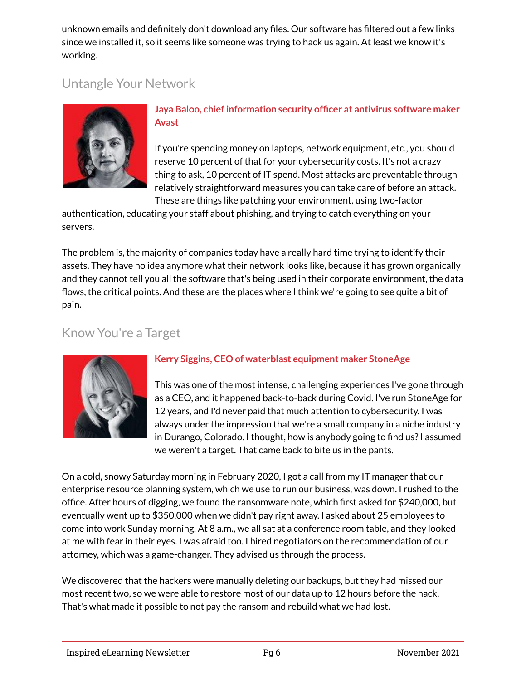unknown emails and definitely don't download any files. Our software has filtered out a few links since we installed it, so it seems like someone was trying to hack us again. At least we know it's working.

# Untangle Your Network



#### **Jaya Baloo, chief information security officer at antivirus software maker Avast**

If you're spending money on laptops, network equipment, etc., you should reserve 10 percent of that for your cybersecurity costs. It's not a crazy thing to ask, 10 percent of IT spend. Most attacks are preventable through relatively straightforward measures you can take care of before an attack. These are things like patching your environment, using two-factor

authentication, educating your staff about phishing, and trying to catch everything on your servers.

The problem is, the majority of companies today have a really hard time trying to identify their assets. They have no idea anymore what their network looks like, because it has grown organically and they cannot tell you all the software that's being used in their corporate environment, the data flows, the critical points. And these are the places where I think we're going to see quite a bit of pain.

### Know You're a Target



#### **Kerry Siggins, CEO of waterblast equipment maker StoneAge**

This was one of the most intense, challenging experiences I've gone through as a CEO, and it happened back-to-back during Covid. I've run StoneAge for 12 years, and I'd never paid that much attention to cybersecurity. I was always under the impression that we're a small company in a niche industry in Durango, Colorado. I thought, how is anybody going to find us? I assumed we weren't a target. That came back to bite us in the pants.

On a cold, snowy Saturday morning in February 2020, I got a call from my IT manager that our enterprise resource planning system, which we use to run our business, was down. I rushed to the office. After hours of digging, we found the ransomware note, which first asked for \$240,000, but eventually went up to \$350,000 when we didn't pay right away. I asked about 25 employees to come into work Sunday morning. At 8 a.m., we all sat at a conference room table, and they looked at me with fear in their eyes. I was afraid too. I hired negotiators on the recommendation of our attorney, which was a game-changer. They advised us through the process.

We discovered that the hackers were manually deleting our backups, but they had missed our most recent two, so we were able to restore most of our data up to 12 hours before the hack. That's what made it possible to not pay the ransom and rebuild what we had lost.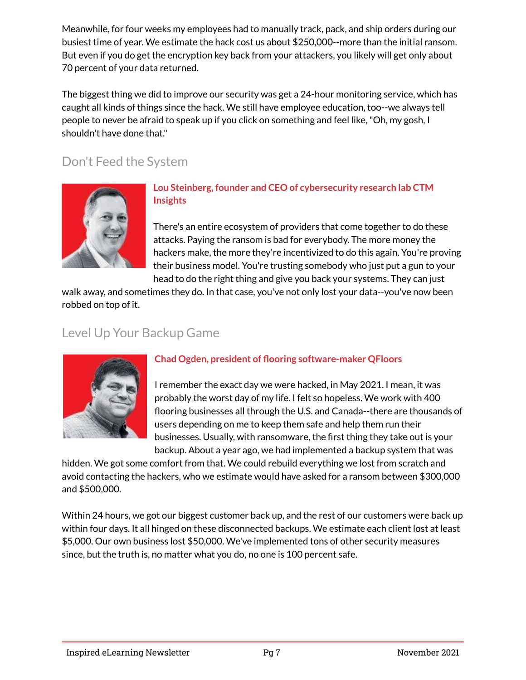Meanwhile, for four weeks my employees had to manually track, pack, and ship orders during our busiest time of year. We estimate the hack cost us about \$250,000--more than the initial ransom. But even if you do get the encryption key back from your attackers, you likely will get only about 70 percent of your data returned.

The biggest thing we did to improve our security was get a 24-hour monitoring service, which has caught all kinds of things since the hack. We still have employee education, too--we always tell people to never be afraid to speak up if you click on something and feel like, "Oh, my gosh, I shouldn't have done that."

# Don't Feed the System



#### **Lou Steinberg, founder and CEO of cybersecurity research lab CTM Insights**

There's an entire ecosystem of providers that come together to do these attacks. Paying the ransom is bad for everybody. The more money the hackers make, the more they're incentivized to do this again. You're proving their business model. You're trusting somebody who just put a gun to your head to do the right thing and give you back your systems. They can just

walk away, and sometimes they do. In that case, you've not only lost your data--you've now been robbed on top of it.

# Level Up Your Backup Game



#### **Chad Ogden, president of flooring software-maker QFloors**

I remember the exact day we were hacked, in May 2021. I mean, it was probably the worst day of my life. I felt so hopeless. We work with 400 flooring businesses all through the U.S. and Canada--there are thousands of users depending on me to keep them safe and help them run their businesses. Usually, with ransomware, the first thing they take out is your backup. About a year ago, we had implemented a backup system that was

hidden. We got some comfort from that. We could rebuild everything we lost from scratch and avoid contacting the hackers, who we estimate would have asked for a ransom between \$300,000 and \$500,000.

Within 24 hours, we got our biggest customer back up, and the rest of our customers were back up within four days. It all hinged on these disconnected backups. We estimate each client lost at least \$5,000. Our own business lost \$50,000. We've implemented tons of other security measures since, but the truth is, no matter what you do, no one is 100 percent safe.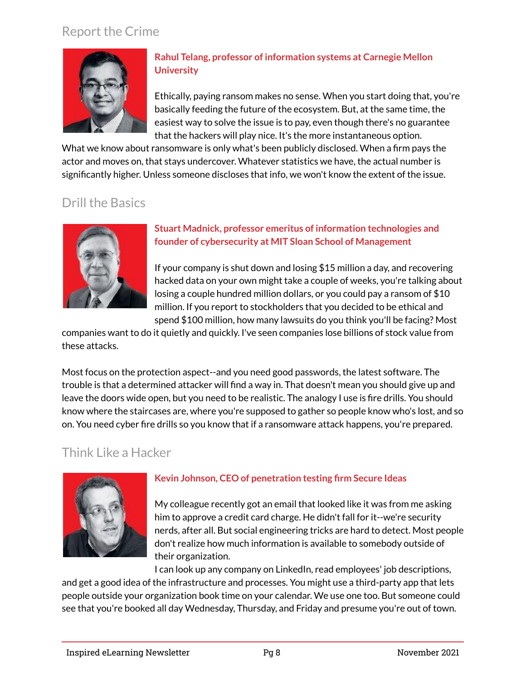### Report the Crime



#### **Rahul Telang, professor of information systems at Carnegie Mellon University**

Ethically, paying ransom makes no sense. When you start doing that, you're basically feeding the future of the ecosystem. But, at the same time, the easiest way to solve the issue is to pay, even though there's no guarantee that the hackers will play nice. It's the more instantaneous option.

What we know about ransomware is only what's been publicly disclosed. When a firm pays the actor and moves on, that stays undercover. Whatever statistics we have, the actual number is significantly higher. Unless someone discloses that info, we won't know the extent of the issue.

# Drill the Basics



#### **Stuart Madnick, professor emeritus of information technologies and founder of cybersecurity at MIT Sloan School of Management**

If your company is shut down and losing \$15 million a day, and recovering hacked data on your own might take a couple of weeks, you're talking about losing a couple hundred million dollars, or you could pay a ransom of \$10 million. If you report to stockholders that you decided to be ethical and spend \$100 million, how many lawsuits do you think you'll be facing? Most

companies want to do it quietly and quickly. I've seen companies lose billions of stock value from these attacks.

Most focus on the protection aspect--and you need good passwords, the latest software. The trouble is that a determined attacker will find a way in. That doesn't mean you should give up and leave the doors wide open, but you need to be realistic. The analogy I use is fire drills. You should know where the staircases are, where you're supposed to gather so people know who's lost, and so on. You need cyber fire drills so you know that if a ransomware attack happens, you're prepared.

# Think Like a Hacker



#### **Kevin Johnson, CEO of penetration testing firm Secure Ideas**

My colleague recently got an email that looked like it was from me asking him to approve a credit card charge. He didn't fall for it--we're security nerds, after all. But social engineering tricks are hard to detect. Most people don't realize how much information is available to somebody outside of their organization.

I can look up any company on LinkedIn, read employees' job descriptions, and get a good idea of the infrastructure and processes. You might use a third-party app that lets people outside your organization book time on your calendar. We use one too. But someone could see that you're booked all day Wednesday, Thursday, and Friday and presume you're out of town.